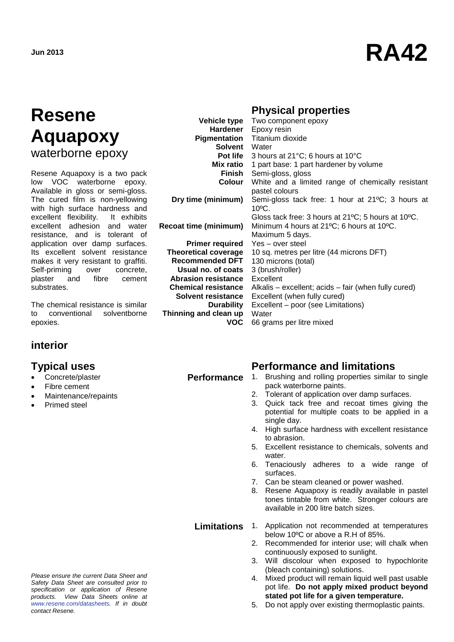# **Jun 2013 RA42**

## **Resene Aquapoxy** waterborne epoxy

Resene Aquapoxy is a two pack low VOC waterborne epoxy. Available in gloss or semi-gloss. The cured film is non-yellowing with high surface hardness and excellent flexibility. It exhibits excellent adhesion and water resistance, and is tolerant of application over damp surfaces. Its excellent solvent resistance makes it very resistant to graffiti. Self-priming over concrete, plaster and fibre cement substrates.

The chemical resistance is similar to conventional solventborne epoxies.

### **interior**

- Concrete/plaster
- Fibre cement
- Maintenance/repaints
- Primed steel

### **Physical properties**

|                                         | Vehicle type Two component epoxy                                     |
|-----------------------------------------|----------------------------------------------------------------------|
|                                         | Hardener Epoxy resin                                                 |
|                                         | Pigmentation Titanium dioxide                                        |
| Solvent Water                           |                                                                      |
|                                         | <b>Pot life</b> 3 hours at $21^{\circ}$ C; 6 hours at $10^{\circ}$ C |
|                                         | Mix ratio 1 part base: 1 part hardener by volume                     |
| Finish                                  | Semi-gloss, gloss                                                    |
| Colour                                  | White and a limited range of chemically resistant                    |
|                                         | pastel colours                                                       |
| Dry time (minimum)                      | Semi-gloss tack free: 1 hour at 21°C; 3 hours at                     |
|                                         | $10^{\circ}$ C.                                                      |
|                                         | Gloss tack free: 3 hours at 21°C; 5 hours at 10°C.                   |
| <b>Recoat time (minimum)</b>            | Minimum 4 hours at 21°C; 6 hours at 10°C.                            |
|                                         | Maximum 5 days.                                                      |
| <b>Primer required</b> Yes – over steel |                                                                      |
| <b>Theoretical coverage</b>             | 10 sq. metres per litre (44 microns DFT)                             |
| <b>Recommended DFT</b>                  | 130 microns (total)                                                  |
| Usual no. of coats                      | 3 (brush/roller)                                                     |
| <b>Abrasion resistance</b>              | Excellent                                                            |
| <b>Chemical resistance</b>              | Alkalis – excellent; acids – fair (when fully cured)                 |
| Solvent resistance                      | Excellent (when fully cured)                                         |
| Durability                              | Excellent – poor (see Limitations)                                   |
| Thinning and clean up                   | Water                                                                |
| <b>VOC</b>                              | 66 grams per litre mixed                                             |

#### **Typical uses Performance and limitations**

- **Performance** 1. Brushing and rolling properties similar to single pack waterborne paints.
	- 2. Tolerant of application over damp surfaces.
	- 3. Quick tack free and recoat times giving the potential for multiple coats to be applied in a single day.
	- 4. High surface hardness with excellent resistance to abrasion.
	- 5. Excellent resistance to chemicals, solvents and water.
	- 6. Tenaciously adheres to a wide range of surfaces.
	- 7. Can be steam cleaned or power washed.
	- 8. Resene Aquapoxy is readily available in pastel tones tintable from white. Stronger colours are available in 200 litre batch sizes.

*Please ensure the current Data Sheet and Safety Data Sheet are consulted prior to specification or application of Resene products. View Data Sheets online at [www.resene.com/datasheets.](http://www.resene.com/datasheets) If in doubt contact Resene.*

#### **Limitations** 1. Application not recommended at temperatures below 10ºC or above a R.H of 85%.

- 2. Recommended for interior use; will chalk when continuously exposed to sunlight.
- 3. Will discolour when exposed to hypochlorite (bleach containing) solutions.
- 4. Mixed product will remain liquid well past usable pot life. **Do not apply mixed product beyond stated pot life for a given temperature.**
- 5. Do not apply over existing thermoplastic paints.